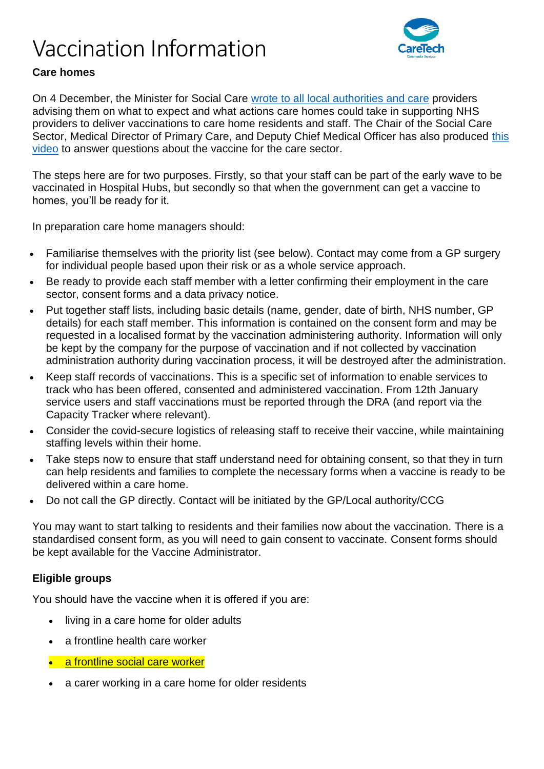# Vaccination Information



## **Care homes**

On 4 December, the Minister for Social Care [wrote to all local authorities and care](https://www.gov.uk/government/publications/covid-19-vaccinations-and-care-homes-programme-launch) providers advising them on what to expect and what actions care homes could take in supporting NHS providers to deliver vaccinations to care home residents and staff. The Chair of the Social Care Sector, Medical Director of Primary Care, and Deputy Chief Medical Officer has also produced this [video](https://www.youtube.com/watch?wp-linkindex=16&utm_campaign=Coronavirus) to answer questions about the vaccine for the care sector.

The steps here are for two purposes. Firstly, so that your staff can be part of the early wave to be vaccinated in Hospital Hubs, but secondly so that when the government can get a vaccine to homes, you'll be ready for it.

In preparation care home managers should:

- Familiarise themselves with the priority list (see below). Contact may come from a GP surgery for individual people based upon their risk or as a whole service approach.
- Be ready to provide each staff member with a letter confirming their employment in the care sector, consent forms and a data privacy notice.
- Put together staff lists, including basic details (name, gender, date of birth, NHS number, GP details) for each staff member. This information is contained on the consent form and may be requested in a localised format by the vaccination administering authority. Information will only be kept by the company for the purpose of vaccination and if not collected by vaccination administration authority during vaccination process, it will be destroyed after the administration.
- Keep staff records of vaccinations. This is a specific set of information to enable services to track who has been offered, consented and administered vaccination. From 12th January service users and staff vaccinations must be reported through the DRA (and report via the Capacity Tracker where relevant).
- Consider the covid-secure logistics of releasing staff to receive their vaccine, while maintaining staffing levels within their home.
- Take steps now to ensure that staff understand need for obtaining consent, so that they in turn can help residents and families to complete the necessary forms when a vaccine is ready to be delivered within a care home.
- Do not call the GP directly. Contact will be initiated by the GP/Local authority/CCG

You may want to start talking to residents and their families now about the vaccination. There is a standardised consent form, as you will need to gain consent to vaccinate. Consent forms should be kept available for the Vaccine Administrator.

### **Eligible groups**

You should have the vaccine when it is offered if you are:

- living in a care home for older adults
- a frontline health care worker
- a frontline social care worker
- a carer working in a care home for older residents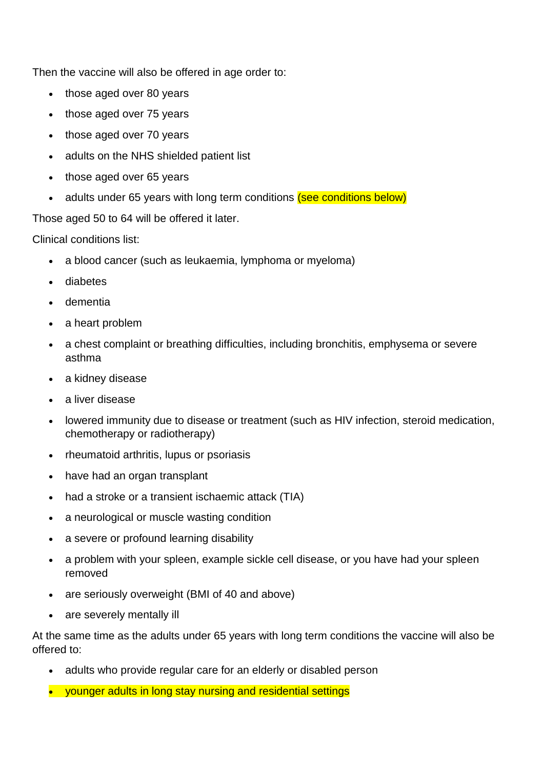Then the vaccine will also be offered in age order to:

- those aged over 80 years
- those aged over 75 years
- those aged over 70 years
- adults on the NHS shielded patient list
- those aged over 65 years
- adults under 65 years with long term conditions (see conditions below)

Those aged 50 to 64 will be offered it later.

Clinical conditions list:

- a blood cancer (such as leukaemia, lymphoma or myeloma)
- diabetes
- dementia
- a heart problem
- a chest complaint or breathing difficulties, including bronchitis, emphysema or severe asthma
- a kidney disease
- a liver disease
- lowered immunity due to disease or treatment (such as HIV infection, steroid medication, chemotherapy or radiotherapy)
- rheumatoid arthritis, lupus or psoriasis
- have had an organ transplant
- had a stroke or a transient ischaemic attack (TIA)
- a neurological or muscle wasting condition
- a severe or profound learning disability
- a problem with your spleen, example sickle cell disease, or you have had your spleen removed
- are seriously overweight (BMI of 40 and above)
- are severely mentally ill

At the same time as the adults under 65 years with long term conditions the vaccine will also be offered to:

- adults who provide regular care for an elderly or disabled person
- younger adults in long stay nursing and residential settings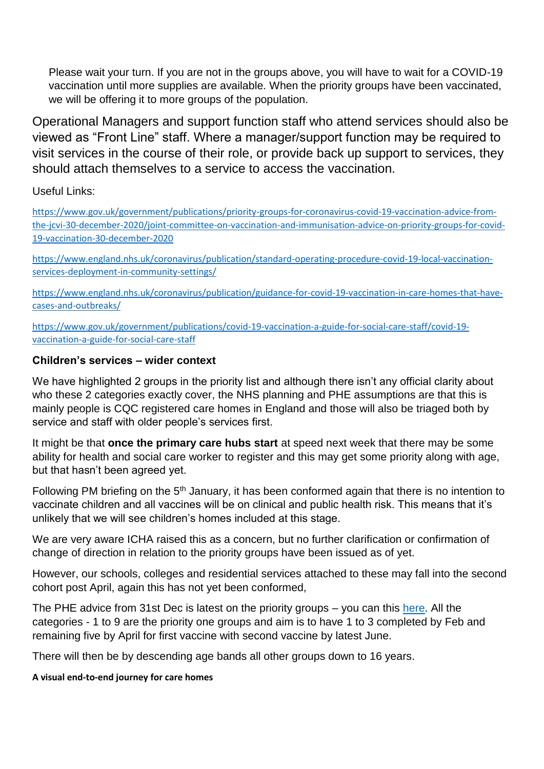Please wait your turn. If you are not in the groups above, you will have to wait for a COVID-19 vaccination until more supplies are available. When the priority groups have been vaccinated, we will be offering it to more groups of the population.

Operational Managers and support function staff who attend services should also be viewed as "Front Line" staff. Where a manager/support function may be required to visit services in the course of their role, or provide back up support to services, they should attach themselves to a service to access the vaccination.

Useful Links:

[https://www.gov.uk/government/publications/priority-groups-for-coronavirus-covid-19-vaccination-advice-from](https://www.gov.uk/government/publications/priority-groups-for-coronavirus-covid-19-vaccination-advice-from-the-jcvi-30-december-2020/joint-committee-on-vaccination-and-immunisation-advice-on-priority-groups-for-covid-19-vaccination-30-december-2020)[the-jcvi-30-december-2020/joint-committee-on-vaccination-and-immunisation-advice-on-priority-groups-for-covid-](https://www.gov.uk/government/publications/priority-groups-for-coronavirus-covid-19-vaccination-advice-from-the-jcvi-30-december-2020/joint-committee-on-vaccination-and-immunisation-advice-on-priority-groups-for-covid-19-vaccination-30-december-2020)[19-vaccination-30-december-2020](https://www.gov.uk/government/publications/priority-groups-for-coronavirus-covid-19-vaccination-advice-from-the-jcvi-30-december-2020/joint-committee-on-vaccination-and-immunisation-advice-on-priority-groups-for-covid-19-vaccination-30-december-2020)

[https://www.england.nhs.uk/coronavirus/publication/standard-operating-procedure-covid-19-local-vaccination](https://www.england.nhs.uk/coronavirus/publication/standard-operating-procedure-covid-19-local-vaccination-services-deployment-in-community-settings/)[services-deployment-in-community-settings/](https://www.england.nhs.uk/coronavirus/publication/standard-operating-procedure-covid-19-local-vaccination-services-deployment-in-community-settings/)

[https://www.england.nhs.uk/coronavirus/publication/guidance-for-covid-19-vaccination-in-care-homes-that-have](https://www.england.nhs.uk/coronavirus/publication/guidance-for-covid-19-vaccination-in-care-homes-that-have-cases-and-outbreaks/)[cases-and-outbreaks/](https://www.england.nhs.uk/coronavirus/publication/guidance-for-covid-19-vaccination-in-care-homes-that-have-cases-and-outbreaks/)

[https://www.gov.uk/government/publications/covid-19-vaccination-a-guide-for-social-care-staff/covid-19](https://www.gov.uk/government/publications/covid-19-vaccination-a-guide-for-social-care-staff/covid-19-vaccination-a-guide-for-social-care-staff) [vaccination-a-guide-for-social-care-staff](https://www.gov.uk/government/publications/covid-19-vaccination-a-guide-for-social-care-staff/covid-19-vaccination-a-guide-for-social-care-staff)

### **Children's services – wider context**

We have highlighted 2 groups in the priority list and although there isn't any official clarity about who these 2 categories exactly cover, the NHS planning and PHE assumptions are that this is mainly people is CQC registered care homes in England and those will also be triaged both by service and staff with older people's services first.

It might be that **once the primary care hubs start** at speed next week that there may be some ability for health and social care worker to register and this may get some priority along with age, but that hasn't been agreed yet.

Following PM briefing on the 5<sup>th</sup> January, it has been conformed again that there is no intention to vaccinate children and all vaccines will be on clinical and public health risk. This means that it's unlikely that we will see children's homes included at this stage.

We are very aware ICHA raised this as a concern, but no further clarification or confirmation of change of direction in relation to the priority groups have been issued as of yet.

However, our schools, colleges and residential services attached to these may fall into the second cohort post April, again this has not yet been conformed,

The PHE advice from 31st Dec is latest on the priority groups - you can this [here.](https://www.gov.uk/government/news/jcvi-issues-advice-on-the-astrazeneca-covid-19-vaccine) All the categories - 1 to 9 are the priority one groups and aim is to have 1 to 3 completed by Feb and remaining five by April for first vaccine with second vaccine by latest June.

There will then be by descending age bands all other groups down to 16 years.

#### **A visual end-to-end journey for care homes**